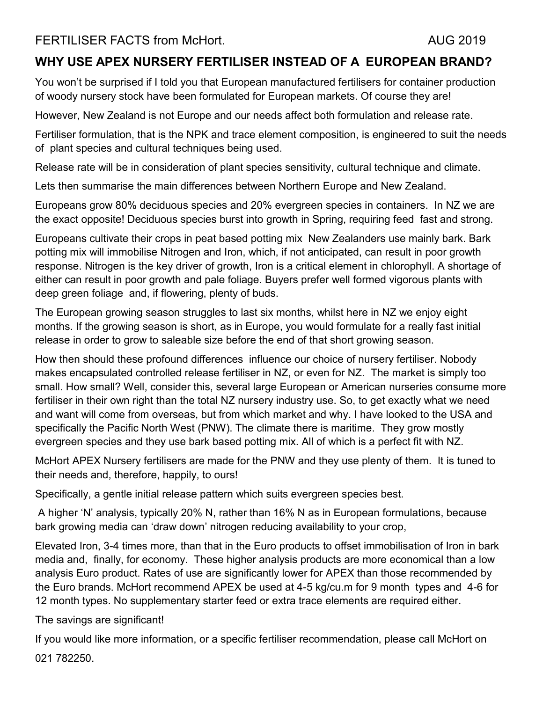# **WHY USE APEX NURSERY FERTILISER INSTEAD OF A EUROPEAN BRAND?**

You won't be surprised if I told you that European manufactured fertilisers for container production of woody nursery stock have been formulated for European markets. Of course they are!

However, New Zealand is not Europe and our needs affect both formulation and release rate.

Fertiliser formulation, that is the NPK and trace element composition, is engineered to suit the needs of plant species and cultural techniques being used.

Release rate will be in consideration of plant species sensitivity, cultural technique and climate.

Lets then summarise the main differences between Northern Europe and New Zealand.

Europeans grow 80% deciduous species and 20% evergreen species in containers. In NZ we are the exact opposite! Deciduous species burst into growth in Spring, requiring feed fast and strong.

Europeans cultivate their crops in peat based potting mix New Zealanders use mainly bark. Bark potting mix will immobilise Nitrogen and Iron, which, if not anticipated, can result in poor growth response. Nitrogen is the key driver of growth, Iron is a critical element in chlorophyll. A shortage of either can result in poor growth and pale foliage. Buyers prefer well formed vigorous plants with deep green foliage and, if flowering, plenty of buds.

The European growing season struggles to last six months, whilst here in NZ we enjoy eight months. If the growing season is short, as in Europe, you would formulate for a really fast initial release in order to grow to saleable size before the end of that short growing season.

How then should these profound differences influence our choice of nursery fertiliser. Nobody makes encapsulated controlled release fertiliser in NZ, or even for NZ. The market is simply too small. How small? Well, consider this, several large European or American nurseries consume more fertiliser in their own right than the total NZ nursery industry use. So, to get exactly what we need and want will come from overseas, but from which market and why. I have looked to the USA and specifically the Pacific North West (PNW). The climate there is maritime. They grow mostly evergreen species and they use bark based potting mix. All of which is a perfect fit with NZ.

McHort APEX Nursery fertilisers are made for the PNW and they use plenty of them. It is tuned to their needs and, therefore, happily, to ours!

Specifically, a gentle initial release pattern which suits evergreen species best.

A higher 'N' analysis, typically 20% N, rather than 16% N as in European formulations, because bark growing media can 'draw down' nitrogen reducing availability to your crop,

Elevated Iron, 3-4 times more, than that in the Euro products to offset immobilisation of Iron in bark media and, finally, for economy. These higher analysis products are more economical than a low analysis Euro product. Rates of use are significantly lower for APEX than those recommended by the Euro brands. McHort recommend APEX be used at 4-5 kg/cu.m for 9 month types and 4-6 for 12 month types. No supplementary starter feed or extra trace elements are required either.

The savings are significant!

If you would like more information, or a specific fertiliser recommendation, please call McHort on 021 782250.